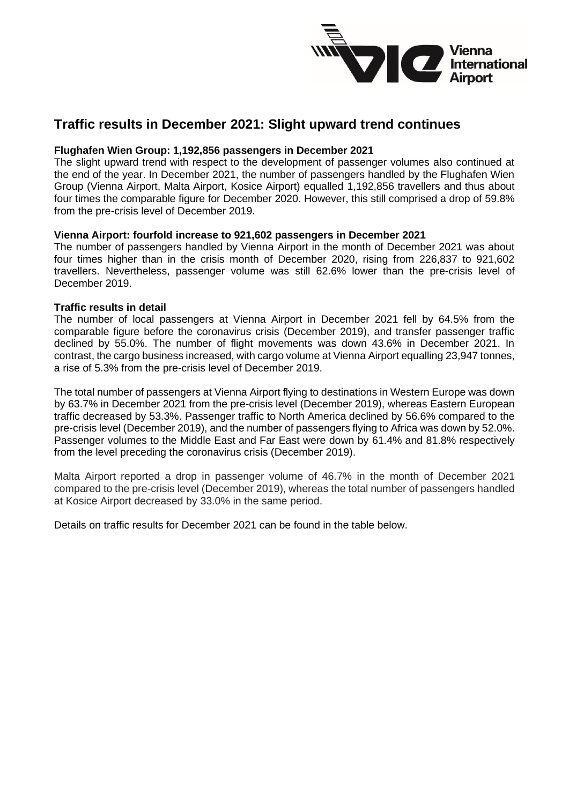

# **Traffic results in December 2021: Slight upward trend continues**

### **Flughafen Wien Group: 1,192,856 passengers in December 2021**

The slight upward trend with respect to the development of passenger volumes also continued at the end of the year. In December 2021, the number of passengers handled by the Flughafen Wien Group (Vienna Airport, Malta Airport, Kosice Airport) equalled 1,192,856 travellers and thus about four times the comparable figure for December 2020. However, this still comprised a drop of 59.8% from the pre-crisis level of December 2019.

### **Vienna Airport: fourfold increase to 921,602 passengers in December 2021**

The number of passengers handled by Vienna Airport in the month of December 2021 was about four times higher than in the crisis month of December 2020, rising from 226,837 to 921,602 travellers. Nevertheless, passenger volume was still 62.6% lower than the pre-crisis level of December 2019.

### **Traffic results in detail**

The number of local passengers at Vienna Airport in December 2021 fell by 64.5% from the comparable figure before the coronavirus crisis (December 2019), and transfer passenger traffic declined by 55.0%. The number of flight movements was down 43.6% in December 2021. In contrast, the cargo business increased, with cargo volume at Vienna Airport equalling 23,947 tonnes, a rise of 5.3% from the pre-crisis level of December 2019.

The total number of passengers at Vienna Airport flying to destinations in Western Europe was down by 63.7% in December 2021 from the pre-crisis level (December 2019), whereas Eastern European traffic decreased by 53.3%. Passenger traffic to North America declined by 56.6% compared to the pre-crisis level (December 2019), and the number of passengers flying to Africa was down by 52.0%. Passenger volumes to the Middle East and Far East were down by 61.4% and 81.8% respectively from the level preceding the coronavirus crisis (December 2019).

Malta Airport reported a drop in passenger volume of 46.7% in the month of December 2021 compared to the pre-crisis level (December 2019), whereas the total number of passengers handled at Kosice Airport decreased by 33.0% in the same period.

Details on traffic results for December 2021 can be found in the table below.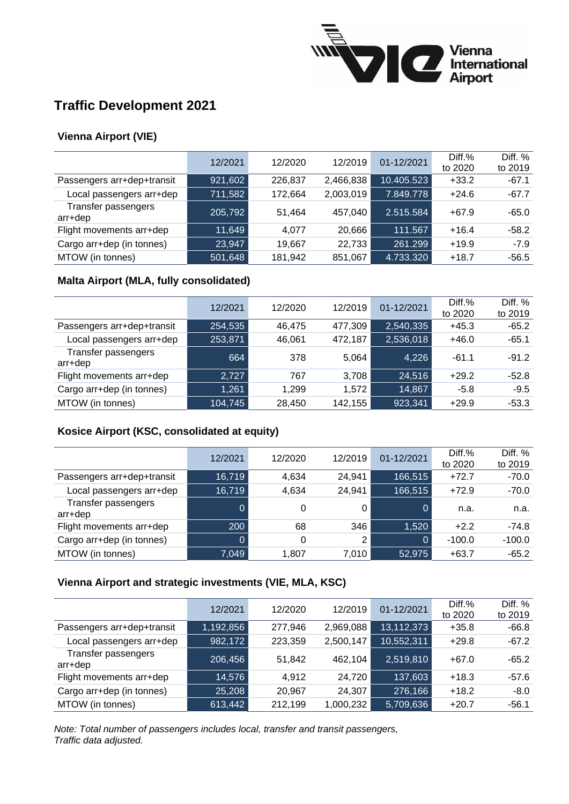

# **Traffic Development 2021**

# **Vienna Airport (VIE)**

|                                | 12/2021 | 12/2020 | 12/2019   | 01-12/2021 | Diff.%<br>to 2020 | Diff. %<br>to 2019 |
|--------------------------------|---------|---------|-----------|------------|-------------------|--------------------|
| Passengers arr+dep+transit     | 921,602 | 226,837 | 2,466,838 | 10.405.523 | $+33.2$           | $-67.1$            |
| Local passengers arr+dep       | 711,582 | 172,664 | 2,003,019 | 7.849.778  | $+24.6$           | $-67.7$            |
| Transfer passengers<br>arr+dep | 205,792 | 51,464  | 457,040   | 2.515.584  | $+67.9$           | $-65.0$            |
| Flight movements arr+dep       | 11,649  | 4.077   | 20,666    | 111.567    | $+16.4$           | $-58.2$            |
| Cargo arr+dep (in tonnes)      | 23,947  | 19,667  | 22,733    | 261.299    | $+19.9$           | $-7.9$             |
| MTOW (in tonnes)               | 501,648 | 181,942 | 851,067   | 4.733.320  | $+18.7$           | $-56.5$            |

## **Malta Airport (MLA, fully consolidated)**

|                                | 12/2021 | 12/2020 | 12/2019 | 01-12/2021 | Diff.%<br>to 2020 | Diff. $%$<br>to 2019 |
|--------------------------------|---------|---------|---------|------------|-------------------|----------------------|
| Passengers arr+dep+transit     | 254,535 | 46.475  | 477,309 | 2,540,335  | $+45.3$           | $-65.2$              |
| Local passengers arr+dep       | 253,871 | 46,061  | 472,187 | 2,536,018  | $+46.0$           | $-65.1$              |
| Transfer passengers<br>arr+dep | 664     | 378     | 5,064   | 4,226      | $-61.1$           | $-91.2$              |
| Flight movements arr+dep       | 2,727   | 767     | 3,708   | 24,516     | $+29.2$           | $-52.8$              |
| Cargo arr+dep (in tonnes)      | 1,261   | 1,299   | 1,572   | 14,867     | $-5.8$            | $-9.5$               |
| MTOW (in tonnes)               | 104,745 | 28,450  | 142,155 | 923,341    | $+29.9$           | $-53.3$              |

## **Kosice Airport (KSC, consolidated at equity)**

|                                | 12/2021 | 12/2020 | 12/2019        | 01-12/2021 | $Diff. \%$<br>to 2020 | Diff. $%$<br>to 2019 |
|--------------------------------|---------|---------|----------------|------------|-----------------------|----------------------|
| Passengers arr+dep+transit     | 16,719  | 4,634   | 24,941         | 166,515    | $+72.7$               | $-70.0$              |
| Local passengers arr+dep       | 16,719  | 4,634   | 24,941         | 166,515    | $+72.9$               | $-70.0$              |
| Transfer passengers<br>arr+dep |         | 0       | 0              | 0          | n.a.                  | n.a.                 |
| Flight movements arr+dep       | 200     | 68      | 346            | 1,520      | $+2.2$                | $-74.8$              |
| Cargo arr+dep (in tonnes)      |         | 0       | $\overline{2}$ | 0          | $-100.0$              | $-100.0$             |
| MTOW (in tonnes)               | 7,049   | 1.807   | 7,010          | 52,975     | $+63.7$               | $-65.2$              |

## **Vienna Airport and strategic investments (VIE, MLA, KSC)**

|                                | 12/2021   | 12/2020 | 12/2019   | 01-12/2021 | Diff.%<br>to 2020 | Diff. $%$<br>to 2019 |
|--------------------------------|-----------|---------|-----------|------------|-------------------|----------------------|
| Passengers arr+dep+transit     | 1,192,856 | 277,946 | 2,969,088 | 13,112,373 | $+35.8$           | $-66.8$              |
| Local passengers arr+dep       | 982,172   | 223,359 | 2,500,147 | 10,552,311 | $+29.8$           | $-67.2$              |
| Transfer passengers<br>arr+dep | 206,456   | 51,842  | 462,104   | 2,519,810  | $+67.0$           | $-65.2$              |
| Flight movements arr+dep       | 14,576    | 4.912   | 24,720    | 137,603    | $+18.3$           | $-57.6$              |
| Cargo arr+dep (in tonnes)      | 25,208    | 20,967  | 24,307    | 276,166    | $+18.2$           | $-8.0$               |
| MTOW (in tonnes)               | 613,442   | 212,199 | 1,000,232 | 5,709,636  | $+20.7$           | $-56.1$              |

*Note: Total number of passengers includes local, transfer and transit passengers, Traffic data adjusted.*